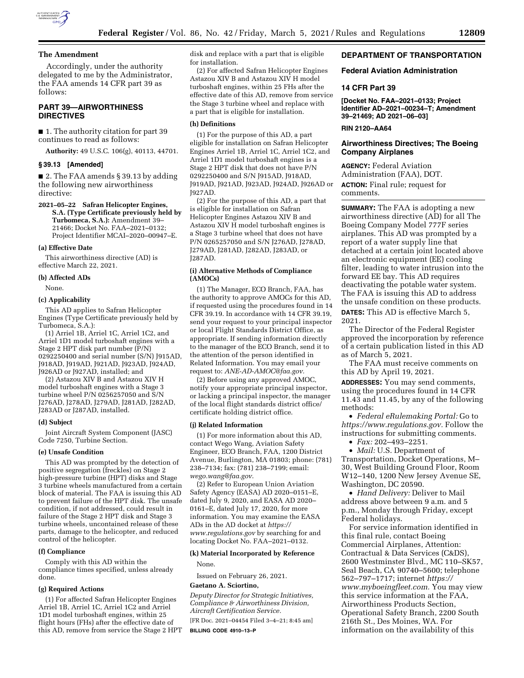

# **The Amendment**

Accordingly, under the authority delegated to me by the Administrator, the FAA amends 14 CFR part 39 as follows:

# **PART 39—AIRWORTHINESS DIRECTIVES**

■ 1. The authority citation for part 39 continues to read as follows:

**Authority:** 49 U.S.C. 106(g), 40113, 44701.

### **§ 39.13 [Amended]**

■ 2. The FAA amends § 39.13 by adding the following new airworthiness directive:

**2021–05–22 Safran Helicopter Engines, S.A. (Type Certificate previously held by Turbomeca, S.A.):** Amendment 39– 21466; Docket No. FAA–2021–0132; Project Identifier MCAI–2020–00947–E.

### **(a) Effective Date**

This airworthiness directive (AD) is effective March 22, 2021.

### **(b) Affected ADs**

None.

# **(c) Applicability**

This AD applies to Safran Helicopter Engines (Type Certificate previously held by Turbomeca, S.A.):

(1) Arriel 1B, Arriel 1C, Arriel 1C2, and Arriel 1D1 model turboshaft engines with a Stage 2 HPT disk part number (P/N) 0292250400 and serial number (S/N) J915AD, J918AD, J919AD, J921AD, J923AD, J924AD, J926AD or J927AD, installed; and

(2) Astazou XIV B and Astazou XIV H model turboshaft engines with a Stage 3 turbine wheel P/N 0256257050 and S/N J276AD, J278AD, J279AD, J281AD, J282AD, J283AD or J287AD, installed.

### **(d) Subject**

Joint Aircraft System Component (JASC) Code 7250, Turbine Section.

### **(e) Unsafe Condition**

This AD was prompted by the detection of positive segregation (freckles) on Stage 2 high-pressure turbine (HPT) disks and Stage 3 turbine wheels manufactured from a certain block of material. The FAA is issuing this AD to prevent failure of the HPT disk. The unsafe condition, if not addressed, could result in failure of the Stage 2 HPT disk and Stage 3 turbine wheels, uncontained release of these parts, damage to the helicopter, and reduced control of the helicopter.

# **(f) Compliance**

Comply with this AD within the compliance times specified, unless already done.

#### **(g) Required Actions**

(1) For affected Safran Helicopter Engines Arriel 1B, Arriel 1C, Arriel 1C2 and Arriel 1D1 model turboshaft engines, within 25 flight hours (FHs) after the effective date of this AD, remove from service the Stage 2 HPT disk and replace with a part that is eligible for installation.

(2) For affected Safran Helicopter Engines Astazou XIV B and Astazou XIV H model turboshaft engines, within 25 FHs after the effective date of this AD, remove from service the Stage 3 turbine wheel and replace with a part that is eligible for installation.

### **(h) Definitions**

(1) For the purpose of this AD, a part eligible for installation on Safran Helicopter Engines Arriel 1B, Arriel 1C, Arriel 1C2, and Arriel 1D1 model turboshaft engines is a Stage 2 HPT disk that does not have P/N 0292250400 and S/N J915AD, J918AD, J919AD, J921AD, J923AD, J924AD, J926AD or J927AD.

(2) For the purpose of this AD, a part that is eligible for installation on Safran Helicopter Engines Astazou XIV B and Astazou XIV H model turboshaft engines is a Stage 3 turbine wheel that does not have P/N 0265257050 and S/N J276AD, J278AD, J279AD, J281AD, J282AD, J283AD, or J287AD.

### **(i) Alternative Methods of Compliance (AMOCs)**

(1) The Manager, ECO Branch, FAA, has the authority to approve AMOCs for this AD, if requested using the procedures found in 14 CFR 39.19. In accordance with 14 CFR 39.19, send your request to your principal inspector or local Flight Standards District Office, as appropriate. If sending information directly to the manager of the ECO Branch, send it to the attention of the person identified in Related Information. You may email your request to: *[ANE-AD-AMOC@faa.gov.](mailto:ANE-AD-AMOC@faa.gov)* 

(2) Before using any approved AMOC, notify your appropriate principal inspector, or lacking a principal inspector, the manager of the local flight standards district office/ certificate holding district office.

### **(j) Related Information**

(1) For more information about this AD, contact Wego Wang, Aviation Safety Engineer, ECO Branch, FAA, 1200 District Avenue, Burlington, MA 01803; phone: (781) 238–7134; fax: (781) 238–7199; email: *[wego.wang@faa.gov](mailto:wego.wang@faa.gov)*.

(2) Refer to European Union Aviation Safety Agency (EASA) AD 2020–0151–E, dated July 9, 2020, and EASA AD 2020– 0161–E, dated July 17, 2020, for more information. You may examine the EASA ADs in the AD docket at *[https://](https://www.regulations.gov) [www.regulations.gov](https://www.regulations.gov)* by searching for and locating Docket No. FAA–2021–0132.

# **(k) Material Incorporated by Reference**

None.

Issued on February 26, 2021.

# **Gaetano A. Sciortino,**

*Deputy Director for Strategic Initiatives, Compliance & Airworthiness Division, Aircraft Certification Service.* 

[FR Doc. 2021–04454 Filed 3–4–21; 8:45 am] **BILLING CODE 4910–13–P** 

# **DEPARTMENT OF TRANSPORTATION**

### **Federal Aviation Administration**

### **14 CFR Part 39**

**[Docket No. FAA–2021–0133; Project Identifier AD–2021–00234–T; Amendment 39–21469; AD 2021–06–03]** 

# **RIN 2120–AA64**

# **Airworthiness Directives; The Boeing Company Airplanes**

**AGENCY:** Federal Aviation Administration (FAA), DOT. **ACTION:** Final rule; request for comments.

**SUMMARY:** The FAA is adopting a new airworthiness directive (AD) for all The Boeing Company Model 777F series airplanes. This AD was prompted by a report of a water supply line that detached at a certain joint located above an electronic equipment (EE) cooling filter, leading to water intrusion into the forward EE bay. This AD requires deactivating the potable water system. The FAA is issuing this AD to address the unsafe condition on these products. **DATES:** This AD is effective March 5, 2021.

The Director of the Federal Register approved the incorporation by reference of a certain publication listed in this AD as of March 5, 2021.

The FAA must receive comments on this AD by April 19, 2021.

**ADDRESSES:** You may send comments, using the procedures found in 14 CFR 11.43 and 11.45, by any of the following methods:

• *Federal eRulemaking Portal:* Go to *[https://www.regulations.gov.](https://www.regulations.gov)* Follow the instructions for submitting comments.

• *Fax:* 202–493–2251.

• *Mail:* U.S. Department of Transportation, Docket Operations, M– 30, West Building Ground Floor, Room W12–140, 1200 New Jersey Avenue SE, Washington, DC 20590.

• *Hand Delivery:* Deliver to Mail address above between 9 a.m. and 5 p.m., Monday through Friday, except Federal holidays.

For service information identified in this final rule, contact Boeing Commercial Airplanes, Attention: Contractual & Data Services (C&DS), 2600 Westminster Blvd., MC 110–SK57, Seal Beach, CA 90740–5600; telephone 562–797–1717; internet *[https://](https://www.myboeingfleet.com) [www.myboeingfleet.com.](https://www.myboeingfleet.com)* You may view this service information at the FAA, Airworthiness Products Section, Operational Safety Branch, 2200 South 216th St., Des Moines, WA. For information on the availability of this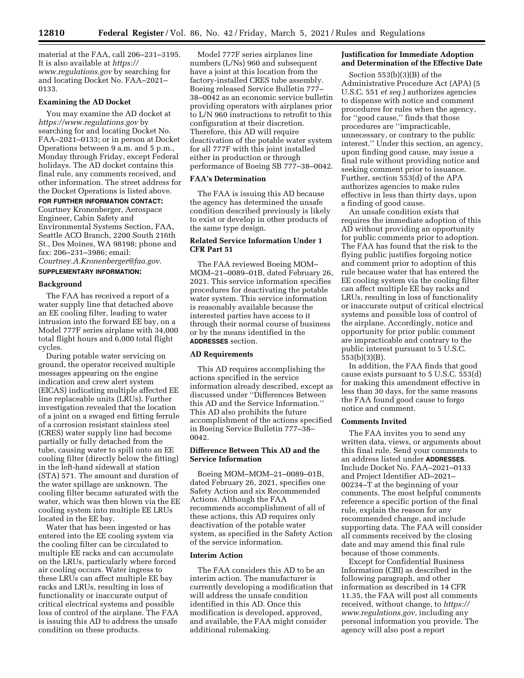material at the FAA, call 206–231–3195. It is also available at *[https://](https://www.regulations.gov) [www.regulations.gov](https://www.regulations.gov)* by searching for and locating Docket No. FAA–2021– 0133.

# **Examining the AD Docket**

You may examine the AD docket at *<https://www.regulations.gov>* by searching for and locating Docket No. FAA–2021–0133; or in person at Docket Operations between 9 a.m. and 5 p.m., Monday through Friday, except Federal holidays. The AD docket contains this final rule, any comments received, and other information. The street address for the Docket Operations is listed above.

### **FOR FURTHER INFORMATION CONTACT:**

Courtney Kronenberger, Aerospace Engineer, Cabin Safety and Environmental Systems Section, FAA, Seattle ACO Branch, 2200 South 216th St., Des Moines, WA 98198; phone and fax: 206–231–3986; email:

*[Courtney.A.Kronenberger@faa.gov.](mailto:Courtney.A.Kronenberger@faa.gov)* 

# **SUPPLEMENTARY INFORMATION:**

### **Background**

The FAA has received a report of a water supply line that detached above an EE cooling filter, leading to water intrusion into the forward EE bay, on a Model 777F series airplane with 34,000 total flight hours and 6,000 total flight cycles.

During potable water servicing on ground, the operator received multiple messages appearing on the engine indication and crew alert system (EICAS) indicating multiple affected EE line replaceable units (LRUs). Further investigation revealed that the location of a joint on a swaged end fitting ferrule of a corrosion resistant stainless steel (CRES) water supply line had become partially or fully detached from the tube, causing water to spill onto an EE cooling filter (directly below the fitting) in the left-hand sidewall at station (STA) 571. The amount and duration of the water spillage are unknown. The cooling filter became saturated with the water, which was then blown via the EE cooling system into multiple EE LRUs located in the EE bay.

Water that has been ingested or has entered into the EE cooling system via the cooling filter can be circulated to multiple EE racks and can accumulate on the LRUs, particularly where forced air cooling occurs. Water ingress to these LRUs can affect multiple EE bay racks and LRUs, resulting in loss of functionality or inaccurate output of critical electrical systems and possible loss of control of the airplane. The FAA is issuing this AD to address the unsafe condition on these products.

Model 777F series airplanes line numbers (L/Ns) 960 and subsequent have a joint at this location from the factory-installed CRES tube assembly. Boeing released Service Bulletin 777– 38–0042 as an economic service bulletin providing operators with airplanes prior to L/N 960 instructions to retrofit to this configuration at their discretion. Therefore, this AD will require deactivation of the potable water system for all 777F with this joint installed either in production or through performance of Boeing SB 777–38–0042.

# **FAA's Determination**

The FAA is issuing this AD because the agency has determined the unsafe condition described previously is likely to exist or develop in other products of the same type design.

# **Related Service Information Under 1 CFR Part 51**

The FAA reviewed Boeing MOM– MOM–21–0089–01B, dated February 26, 2021. This service information specifies procedures for deactivating the potable water system. This service information is reasonably available because the interested parties have access to it through their normal course of business or by the means identified in the **ADDRESSES** section.

### **AD Requirements**

This AD requires accomplishing the actions specified in the service information already described, except as discussed under ''Differences Between this AD and the Service Information.'' This AD also prohibits the future accomplishment of the actions specified in Boeing Service Bulletin 777–38– 0042.

# **Difference Between This AD and the Service Information**

Boeing MOM–MOM–21–0089–01B, dated February 26, 2021, specifies one Safety Action and six Recommended Actions. Although the FAA recommends accomplishment of all of these actions, this AD requires only deactivation of the potable water system, as specified in the Safety Action of the service information.

### **Interim Action**

The FAA considers this AD to be an interim action. The manufacturer is currently developing a modification that will address the unsafe condition identified in this AD. Once this modification is developed, approved, and available, the FAA might consider additional rulemaking.

# **Justification for Immediate Adoption and Determination of the Effective Date**

Section 553(b)(3)(B) of the Administrative Procedure Act (APA) (5 U.S.C. 551 *et seq.*) authorizes agencies to dispense with notice and comment procedures for rules when the agency, for "good cause," finds that those procedures are ''impracticable, unnecessary, or contrary to the public interest.'' Under this section, an agency, upon finding good cause, may issue a final rule without providing notice and seeking comment prior to issuance. Further, section 553(d) of the APA authorizes agencies to make rules effective in less than thirty days, upon a finding of good cause.

An unsafe condition exists that requires the immediate adoption of this AD without providing an opportunity for public comments prior to adoption. The FAA has found that the risk to the flying public justifies forgoing notice and comment prior to adoption of this rule because water that has entered the EE cooling system via the cooling filter can affect multiple EE bay racks and LRUs, resulting in loss of functionality or inaccurate output of critical electrical systems and possible loss of control of the airplane. Accordingly, notice and opportunity for prior public comment are impracticable and contrary to the public interest pursuant to 5 U.S.C. 553(b)(3)(B).

In addition, the FAA finds that good cause exists pursuant to 5 U.S.C. 553(d) for making this amendment effective in less than 30 days, for the same reasons the FAA found good cause to forgo notice and comment.

### **Comments Invited**

The FAA invites you to send any written data, views, or arguments about this final rule. Send your comments to an address listed under **ADDRESSES**. Include Docket No. FAA–2021–0133 and Project Identifier AD–2021– 00234–T at the beginning of your comments. The most helpful comments reference a specific portion of the final rule, explain the reason for any recommended change, and include supporting data. The FAA will consider all comments received by the closing date and may amend this final rule because of those comments.

Except for Confidential Business Information (CBI) as described in the following paragraph, and other information as described in 14 CFR 11.35, the FAA will post all comments received, without change, to *[https://](https://www.regulations.gov) [www.regulations.gov,](https://www.regulations.gov)* including any personal information you provide. The agency will also post a report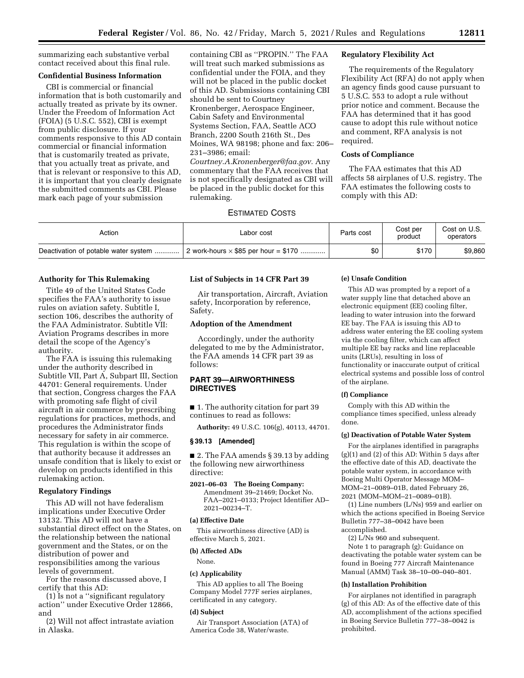summarizing each substantive verbal contact received about this final rule.

# **Confidential Business Information**

CBI is commercial or financial information that is both customarily and actually treated as private by its owner. Under the Freedom of Information Act (FOIA) (5 U.S.C. 552), CBI is exempt from public disclosure. If your comments responsive to this AD contain commercial or financial information that is customarily treated as private, that you actually treat as private, and that is relevant or responsive to this AD, it is important that you clearly designate the submitted comments as CBI. Please mark each page of your submission

containing CBI as ''PROPIN.'' The FAA will treat such marked submissions as confidential under the FOIA, and they will not be placed in the public docket of this AD. Submissions containing CBI should be sent to Courtney Kronenberger, Aerospace Engineer, Cabin Safety and Environmental Systems Section, FAA, Seattle ACO Branch, 2200 South 216th St., Des Moines, WA 98198; phone and fax: 206– 231–3986; email: *[Courtney.A.Kronenberger@faa.gov.](mailto:Courtney.A.Kronenberger@faa.gov)* Any commentary that the FAA receives that is not specifically designated as CBI will be placed in the public docket for this rulemaking.

# **Regulatory Flexibility Act**

The requirements of the Regulatory Flexibility Act (RFA) do not apply when an agency finds good cause pursuant to 5 U.S.C. 553 to adopt a rule without prior notice and comment. Because the FAA has determined that it has good cause to adopt this rule without notice and comment, RFA analysis is not required.

# **Costs of Compliance**

The FAA estimates that this AD affects 58 airplanes of U.S. registry. The FAA estimates the following costs to comply with this AD:

# ESTIMATED COSTS

| Action                               | Labor cost                                  | Parts cost | Cost per<br>product | Cost on U.S.<br>operators |
|--------------------------------------|---------------------------------------------|------------|---------------------|---------------------------|
| Deactivation of potable water system | 2 work-hours $\times$ \$85 per hour = \$170 | \$0        | \$170               | \$9,860                   |

### **Authority for This Rulemaking**

Title 49 of the United States Code specifies the FAA's authority to issue rules on aviation safety. Subtitle I, section 106, describes the authority of the FAA Administrator. Subtitle VII: Aviation Programs describes in more detail the scope of the Agency's authority.

The FAA is issuing this rulemaking under the authority described in Subtitle VII, Part A, Subpart III, Section 44701: General requirements. Under that section, Congress charges the FAA with promoting safe flight of civil aircraft in air commerce by prescribing regulations for practices, methods, and procedures the Administrator finds necessary for safety in air commerce. This regulation is within the scope of that authority because it addresses an unsafe condition that is likely to exist or develop on products identified in this rulemaking action.

#### **Regulatory Findings**

This AD will not have federalism implications under Executive Order 13132. This AD will not have a substantial direct effect on the States, on the relationship between the national government and the States, or on the distribution of power and responsibilities among the various levels of government.

For the reasons discussed above, I certify that this AD:

(1) Is not a ''significant regulatory action'' under Executive Order 12866, and

(2) Will not affect intrastate aviation in Alaska.

### **List of Subjects in 14 CFR Part 39**

Air transportation, Aircraft, Aviation safety, Incorporation by reference, Safety.

### **Adoption of the Amendment**

Accordingly, under the authority delegated to me by the Administrator, the FAA amends 14 CFR part 39 as follows:

# **PART 39—AIRWORTHINESS DIRECTIVES**

■ 1. The authority citation for part 39 continues to read as follows:

**Authority:** 49 U.S.C. 106(g), 40113, 44701.

# **§ 39.13 [Amended]**

■ 2. The FAA amends § 39.13 by adding the following new airworthiness directive:

**2021–06–03 The Boeing Company:**  Amendment 39–21469; Docket No. FAA–2021–0133; Project Identifier AD– 2021–00234–T.

### **(a) Effective Date**

This airworthiness directive (AD) is effective March 5, 2021.

# **(b) Affected ADs**

None.

### **(c) Applicability**

This AD applies to all The Boeing Company Model 777F series airplanes, certificated in any category.

### **(d) Subject**

Air Transport Association (ATA) of America Code 38, Water/waste.

### **(e) Unsafe Condition**

This AD was prompted by a report of a water supply line that detached above an electronic equipment (EE) cooling filter, leading to water intrusion into the forward EE bay. The FAA is issuing this AD to address water entering the EE cooling system via the cooling filter, which can affect multiple EE bay racks and line replaceable units (LRUs), resulting in loss of functionality or inaccurate output of critical electrical systems and possible loss of control of the airplane.

# **(f) Compliance**

Comply with this AD within the compliance times specified, unless already done.

#### **(g) Deactivation of Potable Water System**

For the airplanes identified in paragraphs  $(g)(1)$  and  $(2)$  of this AD: Within 5 days after the effective date of this AD, deactivate the potable water system, in accordance with Boeing Multi Operator Message MOM– MOM–21–0089–01B, dated February 26, 2021 (MOM–MOM–21–0089–01B).

(1) Line numbers (L/Ns) 959 and earlier on which the actions specified in Boeing Service Bulletin 777–38–0042 have been accomplished.

(2) L/Ns 960 and subsequent.

Note 1 to paragraph (g): Guidance on deactivating the potable water system can be found in Boeing 777 Aircraft Maintenance Manual (AMM) Task 38–10–00–040–801.

#### **(h) Installation Prohibition**

For airplanes not identified in paragraph (g) of this AD: As of the effective date of this AD, accomplishment of the actions specified in Boeing Service Bulletin 777–38–0042 is prohibited.